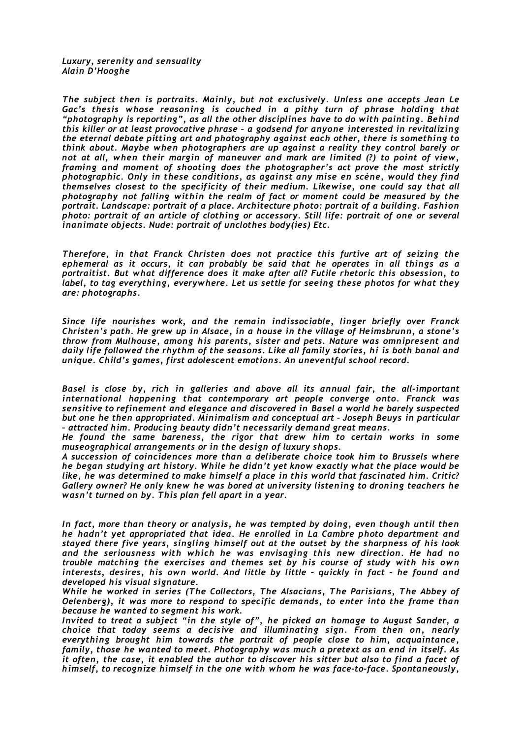*Luxury, serenity and sensuality Alain D'Hooghe*

*The subject then is portraits. Mainly, but not exclusively. Unless one accepts Jean Le Gac's thesis whose reasoning is couched in a pithy turn of phrase holding that "photography is reporting", as all the other disciplines have to do with painting. Behind this killer or at least provocative phrase – a godsend for anyone interested in revitalizing the eternal debate pitting art and photography against each other, there is something to think about. Maybe when photographers are up against a reality they control barely or not at all, when their margin of maneuver and mark are limited (?) to point of view, framing and moment of shooting does the photographer's act prove the most strictly photographic. Only in these conditions, as against any mise en scène, would they find themselves closest to the specificity of their medium. Likewise, one could say that all photography not falling within the realm of fact or moment could be measured by the portrait. Landscape: portrait of a place. Architecture photo: portrait of a building. Fashion photo: portrait of an article of clothing or accessory. Still life: portrait of one or several inanimate objects. Nude: portrait of unclothes body(ies) Etc.*

*Therefore, in that Franck Christen does not practice this furtive art of seizing the ephemeral as it occurs, it can probably be said that he operates in all things as a portraitist. But what difference does it make after all? Futile rhetoric this obsession, to label, to tag everything, everywhere. Let us settle for seeing these photos for what they are: photographs.*

*Since life nourishes work, and the remain indissociable, linger briefly over Franck Christen's path. He grew up in Alsace, in a house in the village of Heimsbrunn, a stone's throw from Mulhouse, among his parents, sister and pets. Nature was omnipresent and daily life followed the rhythm of the seasons. Like all family stories, hi is both banal and unique. Child's games, first adolescent emotions. An uneventful school record.*

*Basel is close by, rich in galleries and above all its annual fair, the all-important international happening that contemporary art people converge onto. Franck was sensitive to refinement and elegance and discovered in Basel a world he barely suspected but one he then appropriated. Minimalism and conceptual art – Joseph Beuys in particular – attracted him. Producing beauty didn't necessarily demand great means.*

*He found the same bareness, the rigor that drew him to certain works in some museographical arrangements or in the design of luxury shops.*

*A succession of coincidences more than a deliberate choice took him to Brussels where he began studying art history. While he didn't yet know exactly what the place would be like, he was determined to make himself a place in this world that fascinated him. Critic? Gallery owner? He only knew he was bored at university listening to droning teachers he wasn't turned on by. This plan fell apart in a year.* 

*In fact, more than theory or analysis, he was tempted by doing, even though until then he hadn't yet appropriated that idea. He enrolled in La Cambre photo department and stayed there five years, singling himself out at the outset by the sharpness of his look and the seriousness with which he was envisaging this new direction. He had no trouble matching the exercises and themes set by his course of study with his own interests, desires, his own world. And little by little – quickly in fact – he found and developed his visual signature.*

*While he worked in series (The Collectors, The Alsacians, The Parisians, The Abbey of Oelenberg), it was more to respond to specific demands, to enter into the frame than because he wanted to segment his work.*

*Invited to treat a subject "in the style of", he picked an homage to August Sander, a choice that today seems a decisive and illuminating sign. From then on, nearly everything brought him towards the portrait of people close to him, acquaintance, family, those he wanted to meet. Photography was much a pretext as an end in itself. As it often, the case, it enabled the author to discover his sitter but also to find a facet of himself, to recognize himself in the one with whom he was face-to-face. Spontaneously,*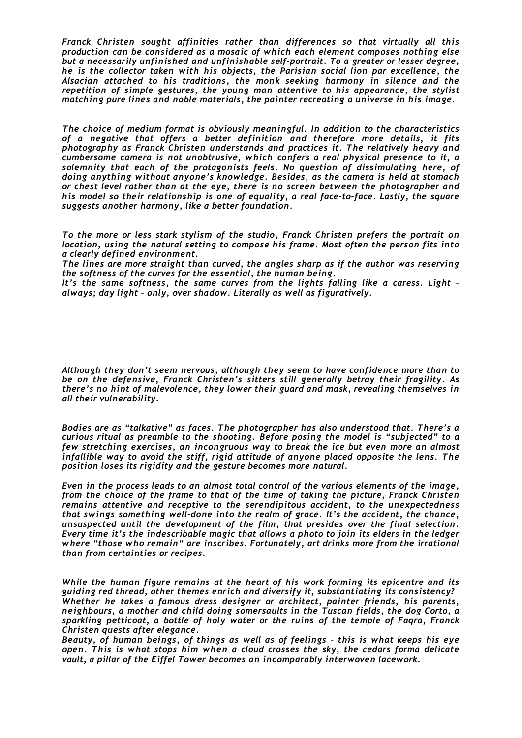*Franck Christen sought affinities rather than differences so that virtually all this production can be considered as a mosaic of which each element composes nothing else but a necessarily unfinished and unfinishable self-portrait. To a greater or lesser degree, he is the collector taken with his objects, the Parisian social lion par excellence, the Alsacian attached to his traditions, the monk seeking harmony in silence and the repetition of simple gestures, the young man attentive to his appearance, the stylist matching pure lines and noble materials, the painter recreating a universe in his image.*

*The choice of medium format is obviously meaningful. In addition to the characteristics of a negative that offers a better definition and therefore more details, it fits photography as Franck Christen understands and practices it. The relatively heavy and cumbersome camera is not unobtrusive, which confers a real physical presence to it, a solemnity that each of the protagonists feels. No question of dissimulating here, of doing anything without anyone's knowledge. Besides, as the camera is held at stomach or chest level rather than at the eye, there is no screen between the photographer and his model so their relationship is one of equality, a real face-to-face. Lastly, the square suggests another harmony, like a better foundation.*

*To the more or less stark stylism of the studio, Franck Christen prefers the portrait on location, using the natural setting to compose his frame. Most often the person fits into a clearly defined environment.*

*The lines are more straight than curved, the angles sharp as if the author was reserving the softness of the curves for the essential, the human being.*

*It's the same softness, the same curves from the lights falling like a caress. Light – always; day light – only, over shadow. Literally as well as figuratively.*

*Although they don't seem nervous, although they seem to have confidence more than to be on the defensive, Franck Christen's sitters still generally betray their fragility. As there's no hint of malevolence, they lower their guard and mask, revealing themselves in all their vulnerability.*

*Bodies are as "talkative" as faces. The photographer has also understood that. There's a curious ritual as preamble to the shooting. Before posing the model is "subjected" to a few stretching exercises, an incongruous way to break the ice but even more an almost infallible way to avoid the stiff, rigid attitude of anyone placed opposite the lens. The position loses its rigidity and the gesture becomes more natural.*

*Even in the process leads to an almost total control of the various elements of the image, from the choice of the frame to that of the time of taking the picture, Franck Christen remains attentive and receptive to the serendipitous accident, to the unexpectedness that swings something well-done into the realm of grace. It's the accident, the chance, unsuspected until the development of the film, that presides over the final selection. Every time it's the indescribable magic that allows a photo to join its elders in the ledger w here "those who remain" are inscribes. Fortunately, art drinks more from the irrational than from certainties or recipes.*

*While the human figure remains at the heart of his work forming its epicentre and its guiding red thread, other themes enrich and diversify it, substantiating its consistency? Whether he takes a famous dress designer or architect, painter friends, his parents, neighbours, a mother and child doing somersaults in the Tuscan fields, the dog Corto, a sparkling petticoat, a bottle of holy water or the ruins of the temple of Faqra, Franck Christen quests after elegance.*

*Beauty, of human beings, of things as well as of feelings – this is what keeps his eye open. This is what stops him when a cloud crosses the sky, the cedars forma delicate vault, a pillar of the Eiffel Tower becomes an incomparably interwoven lacework.*